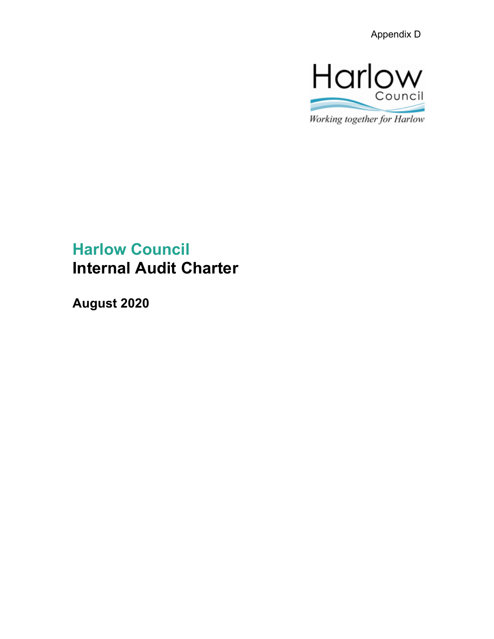

Working together for Harlow

# **Harlow Council Internal Audit Charter**

**August 2020**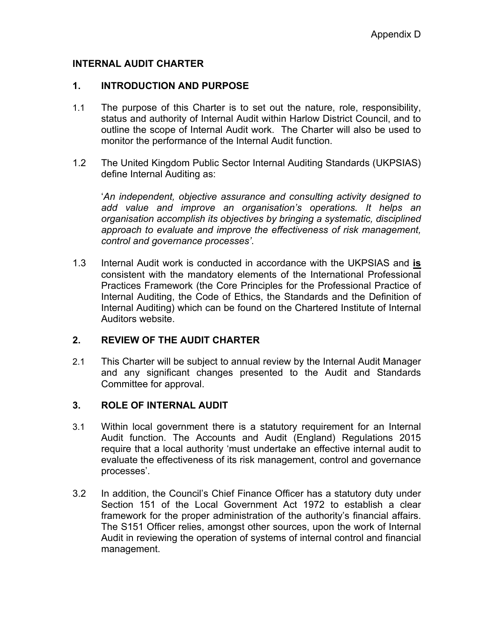#### **INTERNAL AUDIT CHARTER**

#### **1. INTRODUCTION AND PURPOSE**

- 1.1 The purpose of this Charter is to set out the nature, role, responsibility, status and authority of Internal Audit within Harlow District Council, and to outline the scope of Internal Audit work. The Charter will also be used to monitor the performance of the Internal Audit function.
- 1.2 The United Kingdom Public Sector Internal Auditing Standards (UKPSIAS) define Internal Auditing as:

'*An independent, objective assurance and consulting activity designed to add value and improve an organisation's operations. It helps an organisation accomplish its objectives by bringing a systematic, disciplined approach to evaluate and improve the effectiveness of risk management, control and governance processes'*.

1.3 Internal Audit work is conducted in accordance with the UKPSIAS and **is** consistent with the mandatory elements of the International Professional Practices Framework (the Core Principles for the Professional Practice of Internal Auditing, the Code of Ethics, the Standards and the Definition of Internal Auditing) which can be found on the Chartered Institute of Internal Auditors website.

#### **2. REVIEW OF THE AUDIT CHARTER**

2.1 This Charter will be subject to annual review by the Internal Audit Manager and any significant changes presented to the Audit and Standards Committee for approval.

#### **3. ROLE OF INTERNAL AUDIT**

- 3.1 Within local government there is a statutory requirement for an Internal Audit function. The Accounts and Audit (England) Regulations 2015 require that a local authority 'must undertake an effective internal audit to evaluate the effectiveness of its risk management, control and governance processes'.
- 3.2 In addition, the Council's Chief Finance Officer has a statutory duty under Section 151 of the Local Government Act 1972 to establish a clear framework for the proper administration of the authority's financial affairs. The S151 Officer relies, amongst other sources, upon the work of Internal Audit in reviewing the operation of systems of internal control and financial management.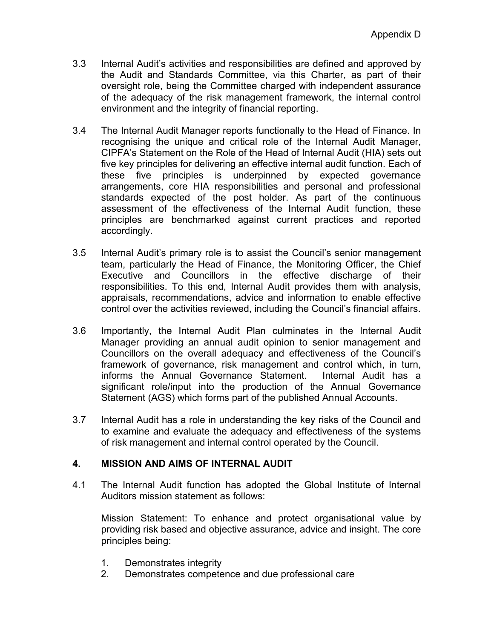- 3.3 Internal Audit's activities and responsibilities are defined and approved by the Audit and Standards Committee, via this Charter, as part of their oversight role, being the Committee charged with independent assurance of the adequacy of the risk management framework, the internal control environment and the integrity of financial reporting.
- 3.4 The Internal Audit Manager reports functionally to the Head of Finance. In recognising the unique and critical role of the Internal Audit Manager, CIPFA's Statement on the Role of the Head of Internal Audit (HIA) sets out five key principles for delivering an effective internal audit function. Each of these five principles is underpinned by expected governance arrangements, core HIA responsibilities and personal and professional standards expected of the post holder. As part of the continuous assessment of the effectiveness of the Internal Audit function, these principles are benchmarked against current practices and reported accordingly.
- 3.5 Internal Audit's primary role is to assist the Council's senior management team, particularly the Head of Finance, the Monitoring Officer, the Chief Executive and Councillors in the effective discharge of their responsibilities. To this end, Internal Audit provides them with analysis, appraisals, recommendations, advice and information to enable effective control over the activities reviewed, including the Council's financial affairs.
- 3.6 Importantly, the Internal Audit Plan culminates in the Internal Audit Manager providing an annual audit opinion to senior management and Councillors on the overall adequacy and effectiveness of the Council's framework of governance, risk management and control which, in turn, informs the Annual Governance Statement. Internal Audit has a significant role/input into the production of the Annual Governance Statement (AGS) which forms part of the published Annual Accounts.
- 3.7 Internal Audit has a role in understanding the key risks of the Council and to examine and evaluate the adequacy and effectiveness of the systems of risk management and internal control operated by the Council.

# **4. MISSION AND AIMS OF INTERNAL AUDIT**

4.1 The Internal Audit function has adopted the Global Institute of Internal Auditors mission statement as follows:

Mission Statement: To enhance and protect organisational value by providing risk based and objective assurance, advice and insight. The core principles being:

- 1. Demonstrates integrity
- 2. Demonstrates competence and due professional care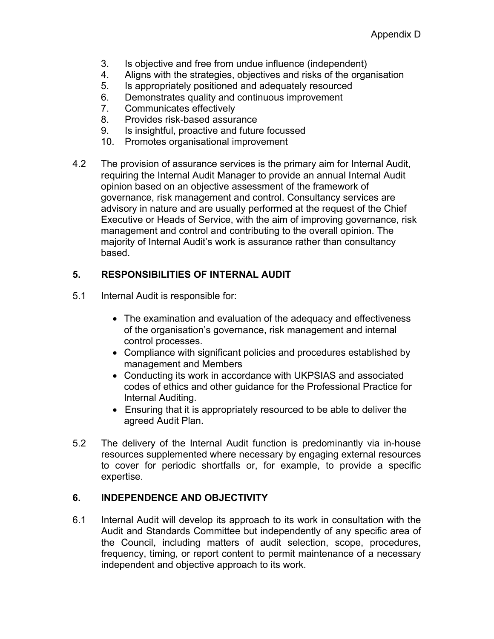- 3. Is objective and free from undue influence (independent)
- 4. Aligns with the strategies, objectives and risks of the organisation
- 5. Is appropriately positioned and adequately resourced
- 6. Demonstrates quality and continuous improvement
- 7. Communicates effectively
- 8. Provides risk-based assurance
- 9. Is insightful, proactive and future focussed
- 10. Promotes organisational improvement
- 4.2 The provision of assurance services is the primary aim for Internal Audit, requiring the Internal Audit Manager to provide an annual Internal Audit opinion based on an objective assessment of the framework of governance, risk management and control. Consultancy services are advisory in nature and are usually performed at the request of the Chief Executive or Heads of Service, with the aim of improving governance, risk management and control and contributing to the overall opinion. The majority of Internal Audit's work is assurance rather than consultancy based.

# **5. RESPONSIBILITIES OF INTERNAL AUDIT**

- 5.1 Internal Audit is responsible for:
	- The examination and evaluation of the adequacy and effectiveness of the organisation's governance, risk management and internal control processes.
	- Compliance with significant policies and procedures established by management and Members
	- Conducting its work in accordance with UKPSIAS and associated codes of ethics and other guidance for the Professional Practice for Internal Auditing.
	- Ensuring that it is appropriately resourced to be able to deliver the agreed Audit Plan.
- 5.2 The delivery of the Internal Audit function is predominantly via in-house resources supplemented where necessary by engaging external resources to cover for periodic shortfalls or, for example, to provide a specific expertise.

# **6. INDEPENDENCE AND OBJECTIVITY**

6.1 Internal Audit will develop its approach to its work in consultation with the Audit and Standards Committee but independently of any specific area of the Council, including matters of audit selection, scope, procedures, frequency, timing, or report content to permit maintenance of a necessary independent and objective approach to its work.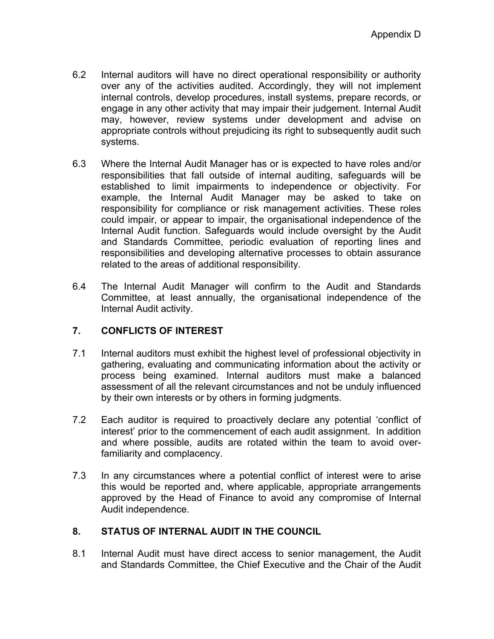- 6.2 Internal auditors will have no direct operational responsibility or authority over any of the activities audited. Accordingly, they will not implement internal controls, develop procedures, install systems, prepare records, or engage in any other activity that may impair their judgement. Internal Audit may, however, review systems under development and advise on appropriate controls without prejudicing its right to subsequently audit such systems.
- 6.3 Where the Internal Audit Manager has or is expected to have roles and/or responsibilities that fall outside of internal auditing, safeguards will be established to limit impairments to independence or objectivity. For example, the Internal Audit Manager may be asked to take on responsibility for compliance or risk management activities. These roles could impair, or appear to impair, the organisational independence of the Internal Audit function. Safeguards would include oversight by the Audit and Standards Committee, periodic evaluation of reporting lines and responsibilities and developing alternative processes to obtain assurance related to the areas of additional responsibility.
- 6.4 The Internal Audit Manager will confirm to the Audit and Standards Committee, at least annually, the organisational independence of the Internal Audit activity.

# **7. CONFLICTS OF INTEREST**

- 7.1 Internal auditors must exhibit the highest level of professional objectivity in gathering, evaluating and communicating information about the activity or process being examined. Internal auditors must make a balanced assessment of all the relevant circumstances and not be unduly influenced by their own interests or by others in forming judgments.
- 7.2 Each auditor is required to proactively declare any potential 'conflict of interest' prior to the commencement of each audit assignment. In addition and where possible, audits are rotated within the team to avoid overfamiliarity and complacency.
- 7.3 In any circumstances where a potential conflict of interest were to arise this would be reported and, where applicable, appropriate arrangements approved by the Head of Finance to avoid any compromise of Internal Audit independence.

# **8. STATUS OF INTERNAL AUDIT IN THE COUNCIL**

8.1 Internal Audit must have direct access to senior management, the Audit and Standards Committee, the Chief Executive and the Chair of the Audit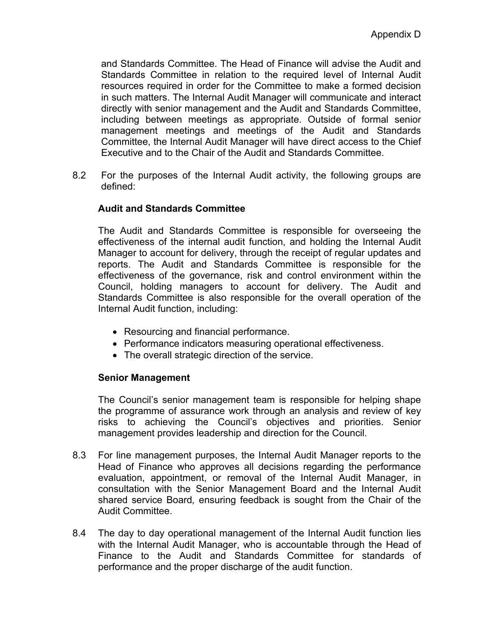and Standards Committee. The Head of Finance will advise the Audit and Standards Committee in relation to the required level of Internal Audit resources required in order for the Committee to make a formed decision in such matters. The Internal Audit Manager will communicate and interact directly with senior management and the Audit and Standards Committee, including between meetings as appropriate. Outside of formal senior management meetings and meetings of the Audit and Standards Committee, the Internal Audit Manager will have direct access to the Chief Executive and to the Chair of the Audit and Standards Committee.

8.2 For the purposes of the Internal Audit activity, the following groups are defined:

#### **Audit and Standards Committee**

The Audit and Standards Committee is responsible for overseeing the effectiveness of the internal audit function, and holding the Internal Audit Manager to account for delivery, through the receipt of regular updates and reports. The Audit and Standards Committee is responsible for the effectiveness of the governance, risk and control environment within the Council, holding managers to account for delivery. The Audit and Standards Committee is also responsible for the overall operation of the Internal Audit function, including:

- Resourcing and financial performance.
- Performance indicators measuring operational effectiveness.
- The overall strategic direction of the service.

#### **Senior Management**

The Council's senior management team is responsible for helping shape the programme of assurance work through an analysis and review of key risks to achieving the Council's objectives and priorities. Senior management provides leadership and direction for the Council.

- 8.3 For line management purposes, the Internal Audit Manager reports to the Head of Finance who approves all decisions regarding the performance evaluation, appointment, or removal of the Internal Audit Manager, in consultation with the Senior Management Board and the Internal Audit shared service Board*,* ensuring feedback is sought from the Chair of the Audit Committee.
- 8.4 The day to day operational management of the Internal Audit function lies with the Internal Audit Manager, who is accountable through the Head of Finance to the Audit and Standards Committee for standards of performance and the proper discharge of the audit function.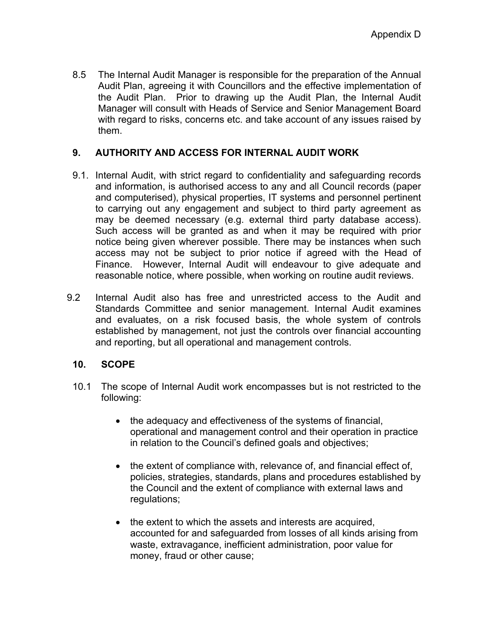8.5 The Internal Audit Manager is responsible for the preparation of the Annual Audit Plan, agreeing it with Councillors and the effective implementation of the Audit Plan. Prior to drawing up the Audit Plan, the Internal Audit Manager will consult with Heads of Service and Senior Management Board with regard to risks, concerns etc. and take account of any issues raised by them.

# **9. AUTHORITY AND ACCESS FOR INTERNAL AUDIT WORK**

- 9.1. Internal Audit, with strict regard to confidentiality and safeguarding records and information, is authorised access to any and all Council records (paper and computerised), physical properties, IT systems and personnel pertinent to carrying out any engagement and subject to third party agreement as may be deemed necessary (e.g. external third party database access). Such access will be granted as and when it may be required with prior notice being given wherever possible. There may be instances when such access may not be subject to prior notice if agreed with the Head of Finance. However, Internal Audit will endeavour to give adequate and reasonable notice, where possible, when working on routine audit reviews.
- 9.2 Internal Audit also has free and unrestricted access to the Audit and Standards Committee and senior management. Internal Audit examines and evaluates, on a risk focused basis, the whole system of controls established by management, not just the controls over financial accounting and reporting, but all operational and management controls.

#### **10. SCOPE**

- 10.1 The scope of Internal Audit work encompasses but is not restricted to the following:
	- the adequacy and effectiveness of the systems of financial, operational and management control and their operation in practice in relation to the Council's defined goals and objectives;
	- the extent of compliance with, relevance of, and financial effect of, policies, strategies, standards, plans and procedures established by the Council and the extent of compliance with external laws and regulations;
	- the extent to which the assets and interests are acquired, accounted for and safeguarded from losses of all kinds arising from waste, extravagance, inefficient administration, poor value for money, fraud or other cause;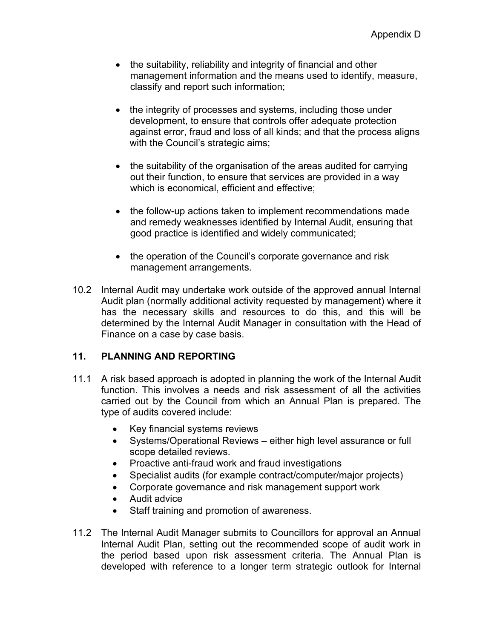- the suitability, reliability and integrity of financial and other management information and the means used to identify, measure, classify and report such information;
- the integrity of processes and systems, including those under development, to ensure that controls offer adequate protection against error, fraud and loss of all kinds; and that the process aligns with the Council's strategic aims;
- the suitability of the organisation of the areas audited for carrying out their function, to ensure that services are provided in a way which is economical, efficient and effective;
- the follow-up actions taken to implement recommendations made and remedy weaknesses identified by Internal Audit, ensuring that good practice is identified and widely communicated;
- the operation of the Council's corporate governance and risk management arrangements.
- 10.2 Internal Audit may undertake work outside of the approved annual Internal Audit plan (normally additional activity requested by management) where it has the necessary skills and resources to do this, and this will be determined by the Internal Audit Manager in consultation with the Head of Finance on a case by case basis.

#### **11. PLANNING AND REPORTING**

- 11.1 A risk based approach is adopted in planning the work of the Internal Audit function. This involves a needs and risk assessment of all the activities carried out by the Council from which an Annual Plan is prepared. The type of audits covered include:
	- Key financial systems reviews
	- Systems/Operational Reviews either high level assurance or full scope detailed reviews.
	- Proactive anti-fraud work and fraud investigations
	- Specialist audits (for example contract/computer/major projects)
	- Corporate governance and risk management support work
	- Audit advice
	- Staff training and promotion of awareness.
- 11.2 The Internal Audit Manager submits to Councillors for approval an Annual Internal Audit Plan, setting out the recommended scope of audit work in the period based upon risk assessment criteria. The Annual Plan is developed with reference to a longer term strategic outlook for Internal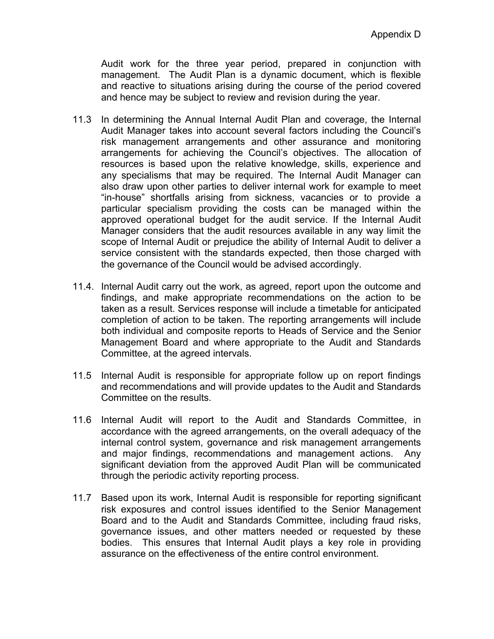Audit work for the three year period, prepared in conjunction with management. The Audit Plan is a dynamic document, which is flexible and reactive to situations arising during the course of the period covered and hence may be subject to review and revision during the year.

- 11.3 In determining the Annual Internal Audit Plan and coverage, the Internal Audit Manager takes into account several factors including the Council's risk management arrangements and other assurance and monitoring arrangements for achieving the Council's objectives. The allocation of resources is based upon the relative knowledge, skills, experience and any specialisms that may be required. The Internal Audit Manager can also draw upon other parties to deliver internal work for example to meet "in-house" shortfalls arising from sickness, vacancies or to provide a particular specialism providing the costs can be managed within the approved operational budget for the audit service. If the Internal Audit Manager considers that the audit resources available in any way limit the scope of Internal Audit or prejudice the ability of Internal Audit to deliver a service consistent with the standards expected, then those charged with the governance of the Council would be advised accordingly.
- 11.4. Internal Audit carry out the work, as agreed, report upon the outcome and findings, and make appropriate recommendations on the action to be taken as a result. Services response will include a timetable for anticipated completion of action to be taken. The reporting arrangements will include both individual and composite reports to Heads of Service and the Senior Management Board and where appropriate to the Audit and Standards Committee, at the agreed intervals.
- 11.5 Internal Audit is responsible for appropriate follow up on report findings and recommendations and will provide updates to the Audit and Standards Committee on the results.
- 11.6 Internal Audit will report to the Audit and Standards Committee, in accordance with the agreed arrangements, on the overall adequacy of the internal control system, governance and risk management arrangements and major findings, recommendations and management actions. Any significant deviation from the approved Audit Plan will be communicated through the periodic activity reporting process.
- 11.7 Based upon its work, Internal Audit is responsible for reporting significant risk exposures and control issues identified to the Senior Management Board and to the Audit and Standards Committee, including fraud risks, governance issues, and other matters needed or requested by these bodies. This ensures that Internal Audit plays a key role in providing assurance on the effectiveness of the entire control environment.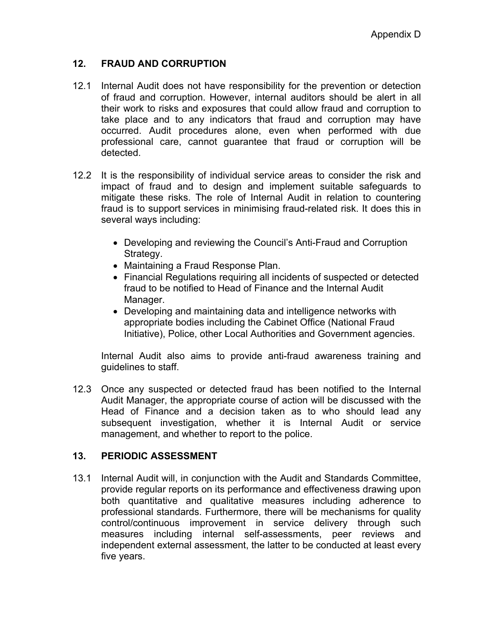# **12. FRAUD AND CORRUPTION**

- 12.1 Internal Audit does not have responsibility for the prevention or detection of fraud and corruption. However, internal auditors should be alert in all their work to risks and exposures that could allow fraud and corruption to take place and to any indicators that fraud and corruption may have occurred. Audit procedures alone, even when performed with due professional care, cannot guarantee that fraud or corruption will be detected.
- 12.2 It is the responsibility of individual service areas to consider the risk and impact of fraud and to design and implement suitable safeguards to mitigate these risks. The role of Internal Audit in relation to countering fraud is to support services in minimising fraud-related risk. It does this in several ways including:
	- Developing and reviewing the Council's Anti-Fraud and Corruption Strategy.
	- Maintaining a Fraud Response Plan.
	- Financial Regulations requiring all incidents of suspected or detected fraud to be notified to Head of Finance and the Internal Audit Manager.
	- Developing and maintaining data and intelligence networks with appropriate bodies including the Cabinet Office (National Fraud Initiative), Police, other Local Authorities and Government agencies.

Internal Audit also aims to provide anti-fraud awareness training and guidelines to staff.

12.3 Once any suspected or detected fraud has been notified to the Internal Audit Manager, the appropriate course of action will be discussed with the Head of Finance and a decision taken as to who should lead any subsequent investigation, whether it is Internal Audit or service management, and whether to report to the police.

# **13. PERIODIC ASSESSMENT**

13.1 Internal Audit will, in conjunction with the Audit and Standards Committee, provide regular reports on its performance and effectiveness drawing upon both quantitative and qualitative measures including adherence to professional standards. Furthermore, there will be mechanisms for quality control/continuous improvement in service delivery through such measures including internal self-assessments, peer reviews and independent external assessment, the latter to be conducted at least every five years.